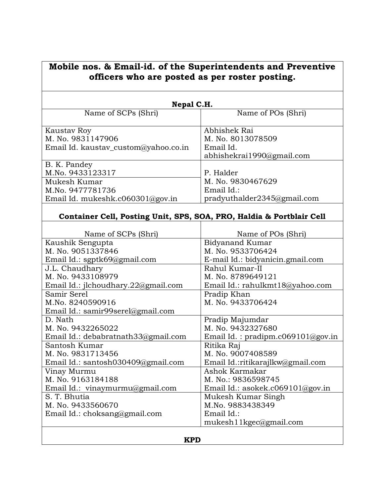| Mobile nos. & Email-id. of the Superintendents and Preventive<br>officers who are posted as per roster posting.                                                                                                                                                                                                                            |                                                                                                                                                                                                                                                                                                                |  |
|--------------------------------------------------------------------------------------------------------------------------------------------------------------------------------------------------------------------------------------------------------------------------------------------------------------------------------------------|----------------------------------------------------------------------------------------------------------------------------------------------------------------------------------------------------------------------------------------------------------------------------------------------------------------|--|
| Nepal C.H.                                                                                                                                                                                                                                                                                                                                 |                                                                                                                                                                                                                                                                                                                |  |
| Name of SCPs (Shri)                                                                                                                                                                                                                                                                                                                        | Name of POs (Shri)                                                                                                                                                                                                                                                                                             |  |
| Kaustav Roy<br>M. No. 9831147906<br>Email Id. kaustav_custom@yahoo.co.in                                                                                                                                                                                                                                                                   | Abhishek Rai<br>M. No. 8013078509<br>Email Id.<br>abhishekrai1990@gmail.com                                                                                                                                                                                                                                    |  |
| B. K. Pandey<br>M.No. 9433123317<br>Mukesh Kumar<br>M.No. 9477781736<br>Email Id. mukeshk.c060301@gov.in                                                                                                                                                                                                                                   | P. Halder<br>M. No. 9830467629<br>Email Id.:<br>pradyuthalder2345@gmail.com                                                                                                                                                                                                                                    |  |
| Container Cell, Posting Unit, SPS, SOA, PRO, Haldia & Portblair Cell                                                                                                                                                                                                                                                                       |                                                                                                                                                                                                                                                                                                                |  |
| Name of SCPs (Shri)<br>Kaushik Sengupta<br>M. No. 9051337846<br>Email Id.: sgptk69@gmail.com<br>J.L. Chaudhary<br>M. No. 9433108979<br>Email Id.: jlchoudhary.22@gmail.com<br>Samir Serel<br>M.No. 8240590916<br>Email Id.: samir99serel@gmail.com<br>D. Nath<br>M. No. 9432265022<br>Email Id.: debabratnath33@gmail.com<br>Santosh Kumar | Name of POs (Shri)<br><b>Bidyanand Kumar</b><br>M. No. 9533706424<br>E-mail Id.: bidyanicin.gmail.com<br>Rahul Kumar-II<br>M. No. 8789649121<br>Email Id.: rahulkmt18@yahoo.com<br>Pradip Khan<br>M. No. 9433706424<br>Pradip Majumdar<br>M. No. 9432327680<br>Email Id.: pradipm.c069101@gov.in<br>Ritika Raj |  |
| M. No. 9831713456<br>Email Id.: santosh030409@gmail.com<br>Vinay Murmu<br>M. No. 9163184188<br>Email Id.: vinaymurmu@gmail.com<br>S. T. Bhutia<br>M. No. 9433560670<br>Email Id.: choksang@gmail.com                                                                                                                                       | M. No. 9007408589<br>Email Id.:ritikarajlkw@gmail.com<br>Ashok Karmakar<br>M. No.: 9836598745<br>Email Id.: asokek.c069101@gov.in<br>Mukesh Kumar Singh<br>M.No. 9883438349<br>Email Id.:<br>mukesh11kgec@gmail.com                                                                                            |  |
| <b>KPD</b>                                                                                                                                                                                                                                                                                                                                 |                                                                                                                                                                                                                                                                                                                |  |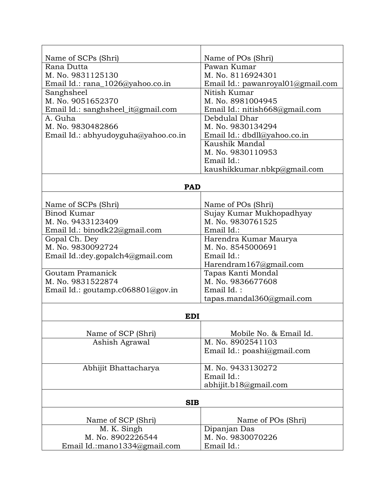| Name of SCPs (Shri)                 | Name of POs (Shri)                    |  |
|-------------------------------------|---------------------------------------|--|
| Rana Dutta                          | Pawan Kumar                           |  |
| M. No. 9831125130                   | M. No. 8116924301                     |  |
| Email Id.: rana_1026@yahoo.co.in    | Email Id.: pawanroyal $01$ @gmail.com |  |
| Sanghsheel                          | Nitish Kumar                          |  |
| M. No. 9051652370                   | M. No. 8981004945                     |  |
| Email Id.: sanghsheel_it@gmail.com  | Email Id.: nitish668@gmail.com        |  |
| A. Guha                             | Debdulal Dhar                         |  |
| M. No. 9830482866                   | M. No. 9830134294                     |  |
| Email Id.: abhyudoyguha@yahoo.co.in | Email Id.: dbdll@yahoo.co.in          |  |
|                                     | Kaushik Mandal                        |  |
|                                     | M. No. 9830110953                     |  |
|                                     | Email Id.:                            |  |
|                                     | kaushikkumar.nbkp@gmail.com           |  |
|                                     |                                       |  |
| <b>PAD</b>                          |                                       |  |
|                                     |                                       |  |
| Name of SCPs (Shri)                 | Name of POs (Shri)                    |  |
| Binod Kumar                         | Sujay Kumar Mukhopadhyay              |  |
| M. No. 9433123409                   | M. No. 9830761525                     |  |
| Email Id.: binodk22@gmail.com       | Email Id.:                            |  |
| Gopal Ch. Dey                       | Harendra Kumar Maurya                 |  |
| M. No. 9830092724                   | M. No. 8545000691                     |  |
| Email Id.: dey.gopalch4@gmail.com   | Email Id.:                            |  |
|                                     | Harendram167@gmail.com                |  |
| Goutam Pramanick                    | Tapas Kanti Mondal                    |  |
| M. No. 9831522874                   | M. No. 9836677608                     |  |
| Email Id.: goutamp.c068801@gov.in   | Email $Id.$ :                         |  |
|                                     | tapas.mandal360@gmail.com             |  |
|                                     |                                       |  |
| <b>EDI</b>                          |                                       |  |
| Name of SCP (Shri)                  | Mobile No. & Email Id.                |  |
| Ashish Agrawal                      | M. No. 8902541103                     |  |
|                                     | Email Id.: poashi@gmail.com           |  |
|                                     |                                       |  |
| Abhijit Bhattacharya                | M. No. 9433130272                     |  |
|                                     | Email Id.:                            |  |
|                                     | abhijit.b18@gmail.com                 |  |
|                                     |                                       |  |
| <b>SIB</b>                          |                                       |  |
|                                     |                                       |  |
| Name of SCP (Shri)                  | Name of POs (Shri)                    |  |
| M. K. Singh                         | Dipanjan Das                          |  |
| M. No. 8902226544                   | M. No. 9830070226                     |  |
| Email Id.:mano1334@gmail.com        | Email Id.:                            |  |